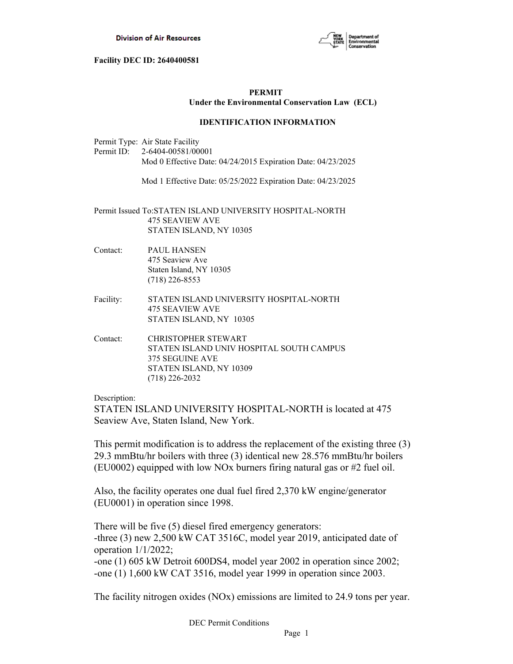

# **PERMIT Under the Environmental Conservation Law (ECL)**

# **IDENTIFICATION INFORMATION**

Permit Type: Air State Facility Permit ID: 2-6404-00581/00001 Mod 0 Effective Date: 04/24/2015 Expiration Date: 04/23/2025

Mod 1 Effective Date: 05/25/2022 Expiration Date: 04/23/2025

Permit Issued To:STATEN ISLAND UNIVERSITY HOSPITAL-NORTH 475 SEAVIEW AVE STATEN ISLAND, NY 10305

- Contact: PAUL HANSEN 475 Seaview Ave Staten Island, NY 10305 (718) 226-8553
- Facility: STATEN ISLAND UNIVERSITY HOSPITAL-NORTH 475 SEAVIEW AVE STATEN ISLAND, NY 10305
- Contact: CHRISTOPHER STEWART STATEN ISLAND UNIV HOSPITAL SOUTH CAMPUS 375 SEGUINE AVE STATEN ISLAND, NY 10309 (718) 226-2032

Description:

STATEN ISLAND UNIVERSITY HOSPITAL-NORTH is located at 475 Seaview Ave, Staten Island, New York.

This permit modification is to address the replacement of the existing three (3) 29.3 mmBtu/hr boilers with three (3) identical new 28.576 mmBtu/hr boilers (EU0002) equipped with low NOx burners firing natural gas or #2 fuel oil.

Also, the facility operates one dual fuel fired 2,370 kW engine/generator (EU0001) in operation since 1998.

There will be five (5) diesel fired emergency generators: -three (3) new 2,500 kW CAT 3516C, model year 2019, anticipated date of operation 1/1/2022; -one (1) 605 kW Detroit 600DS4, model year 2002 in operation since 2002; -one (1) 1,600 kW CAT 3516, model year 1999 in operation since 2003.

The facility nitrogen oxides (NOx) emissions are limited to 24.9 tons per year.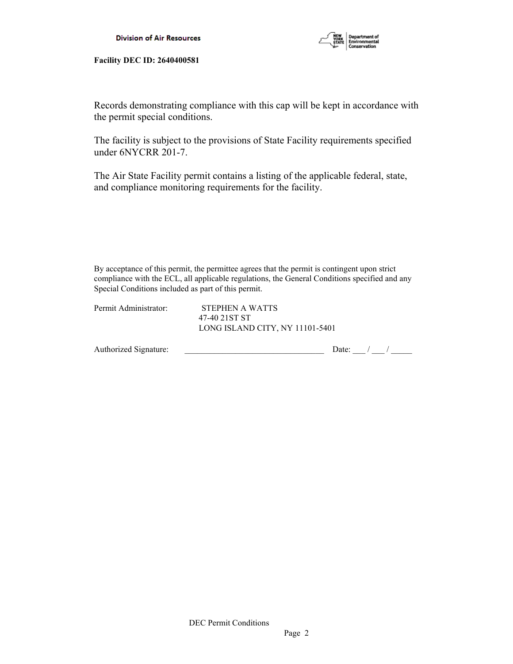

Records demonstrating compliance with this cap will be kept in accordance with the permit special conditions.

The facility is subject to the provisions of State Facility requirements specified under 6NYCRR 201-7.

The Air State Facility permit contains a listing of the applicable federal, state, and compliance monitoring requirements for the facility.

By acceptance of this permit, the permittee agrees that the permit is contingent upon strict compliance with the ECL, all applicable regulations, the General Conditions specified and any Special Conditions included as part of this permit.

| Permit Administrator: | STEPHEN A WATTS<br>47-40 21ST ST |  |
|-----------------------|----------------------------------|--|
|                       | LONG ISLAND CITY, NY 11101-5401  |  |

| Authorized Signature: |  |  |
|-----------------------|--|--|
|                       |  |  |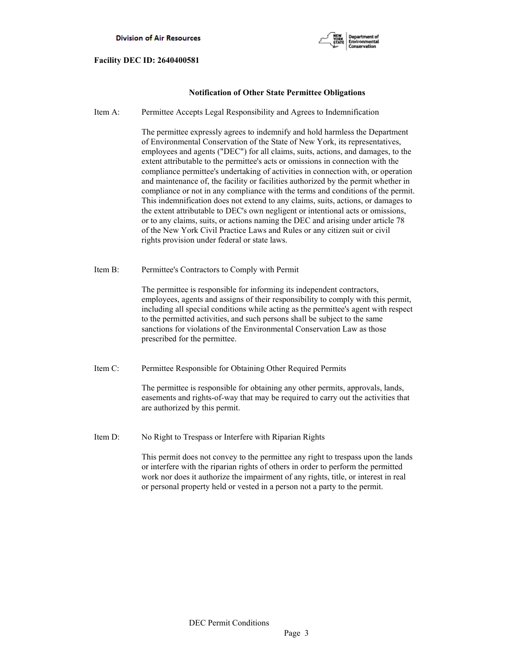

## **Notification of Other State Permittee Obligations**

Item A: Permittee Accepts Legal Responsibility and Agrees to Indemnification

 The permittee expressly agrees to indemnify and hold harmless the Department of Environmental Conservation of the State of New York, its representatives, employees and agents ("DEC") for all claims, suits, actions, and damages, to the extent attributable to the permittee's acts or omissions in connection with the compliance permittee's undertaking of activities in connection with, or operation and maintenance of, the facility or facilities authorized by the permit whether in compliance or not in any compliance with the terms and conditions of the permit. This indemnification does not extend to any claims, suits, actions, or damages to the extent attributable to DEC's own negligent or intentional acts or omissions, or to any claims, suits, or actions naming the DEC and arising under article 78 of the New York Civil Practice Laws and Rules or any citizen suit or civil rights provision under federal or state laws.

Item B: Permittee's Contractors to Comply with Permit

 The permittee is responsible for informing its independent contractors, employees, agents and assigns of their responsibility to comply with this permit, including all special conditions while acting as the permittee's agent with respect to the permitted activities, and such persons shall be subject to the same sanctions for violations of the Environmental Conservation Law as those prescribed for the permittee.

Item C: Permittee Responsible for Obtaining Other Required Permits

 The permittee is responsible for obtaining any other permits, approvals, lands, easements and rights-of-way that may be required to carry out the activities that are authorized by this permit.

Item D: No Right to Trespass or Interfere with Riparian Rights

 This permit does not convey to the permittee any right to trespass upon the lands or interfere with the riparian rights of others in order to perform the permitted work nor does it authorize the impairment of any rights, title, or interest in real or personal property held or vested in a person not a party to the permit.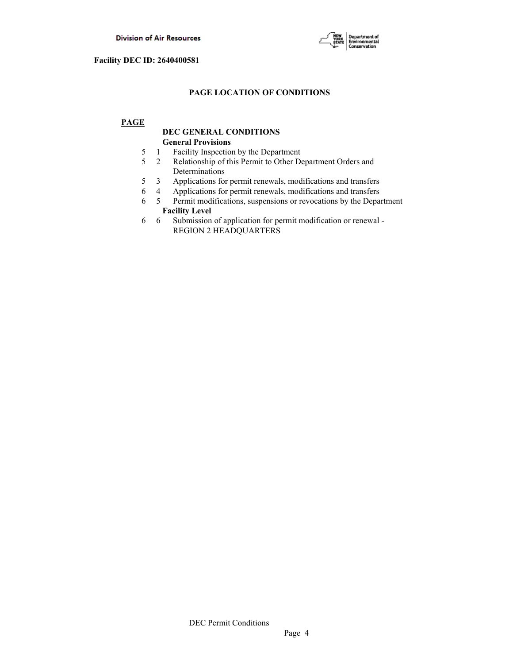

# **PAGE LOCATION OF CONDITIONS**

# **PAGE**

# **DEC GENERAL CONDITIONS General Provisions**

- 5 1 Facility Inspection by the Department
- 5 2 Relationship of this Permit to Other Department Orders and Determinations
- 5 3 Applications for permit renewals, modifications and transfers
- 6 4 Applications for permit renewals, modifications and transfers
- 6 5 Permit modifications, suspensions or revocations by the Department  **Facility Level**
- 6 6 Submission of application for permit modification or renewal REGION 2 HEADQUARTERS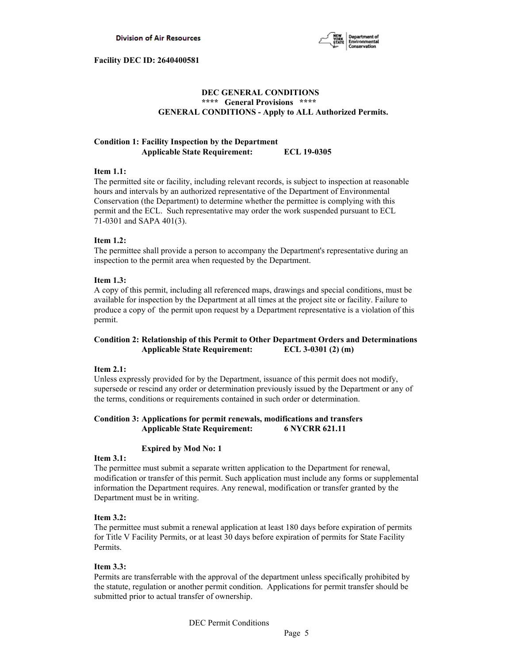

## **DEC GENERAL CONDITIONS \*\*\*\* General Provisions \*\*\*\* GENERAL CONDITIONS - Apply to ALL Authorized Permits.**

# **Condition 1: Facility Inspection by the Department Applicable State Requirement: ECL 19-0305**

## **Item 1.1:**

The permitted site or facility, including relevant records, is subject to inspection at reasonable hours and intervals by an authorized representative of the Department of Environmental Conservation (the Department) to determine whether the permittee is complying with this permit and the ECL. Such representative may order the work suspended pursuant to ECL 71-0301 and SAPA 401(3).

## **Item 1.2:**

The permittee shall provide a person to accompany the Department's representative during an inspection to the permit area when requested by the Department.

## **Item 1.3:**

A copy of this permit, including all referenced maps, drawings and special conditions, must be available for inspection by the Department at all times at the project site or facility. Failure to produce a copy of the permit upon request by a Department representative is a violation of this permit.

# **Condition 2: Relationship of this Permit to Other Department Orders and Determinations Applicable State Requirement: ECL 3-0301 (2) (m)**

## **Item 2.1:**

Unless expressly provided for by the Department, issuance of this permit does not modify, supersede or rescind any order or determination previously issued by the Department or any of the terms, conditions or requirements contained in such order or determination.

# **Condition 3: Applications for permit renewals, modifications and transfers Applicable State Requirement: 6 NYCRR 621.11**

## **Expired by Mod No: 1**

## **Item 3.1:**

The permittee must submit a separate written application to the Department for renewal, modification or transfer of this permit. Such application must include any forms or supplemental information the Department requires. Any renewal, modification or transfer granted by the Department must be in writing.

## **Item 3.2:**

The permittee must submit a renewal application at least 180 days before expiration of permits for Title V Facility Permits, or at least 30 days before expiration of permits for State Facility Permits.

# **Item 3.3:**

Permits are transferrable with the approval of the department unless specifically prohibited by the statute, regulation or another permit condition. Applications for permit transfer should be submitted prior to actual transfer of ownership.

DEC Permit Conditions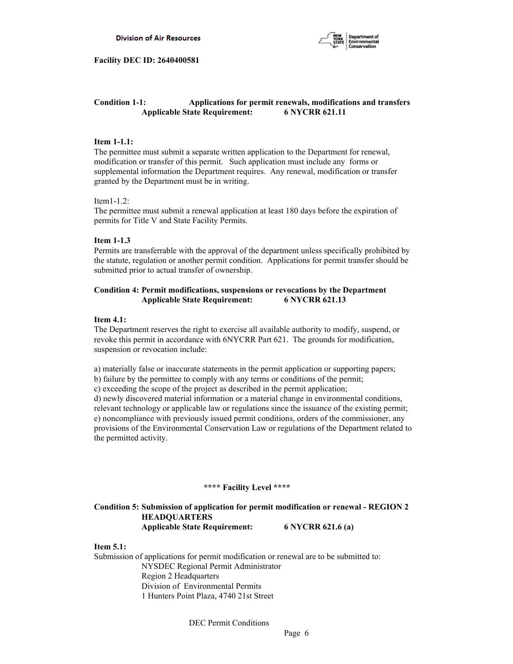

# **Condition 1-1: Applications for permit renewals, modifications and transfers Applicable State Requirement: 6 NYCRR 621.11**

#### **Item 1-1.1:**

The permittee must submit a separate written application to the Department for renewal, modification or transfer of this permit. Such application must include any forms or supplemental information the Department requires. Any renewal, modification or transfer granted by the Department must be in writing.

#### Item1-1.2:

The permittee must submit a renewal application at least 180 days before the expiration of permits for Title V and State Facility Permits.

## **Item 1-1.3**

Permits are transferrable with the approval of the department unless specifically prohibited by the statute, regulation or another permit condition. Applications for permit transfer should be submitted prior to actual transfer of ownership.

## **Condition 4: Permit modifications, suspensions or revocations by the Department Applicable State Requirement: 6 NYCRR 621.13**

#### **Item 4.1:**

The Department reserves the right to exercise all available authority to modify, suspend, or revoke this permit in accordance with 6NYCRR Part 621. The grounds for modification, suspension or revocation include:

a) materially false or inaccurate statements in the permit application or supporting papers;

b) failure by the permittee to comply with any terms or conditions of the permit;

c) exceeding the scope of the project as described in the permit application;

d) newly discovered material information or a material change in environmental conditions, relevant technology or applicable law or regulations since the issuance of the existing permit; e) noncompliance with previously issued permit conditions, orders of the commissioner, any provisions of the Environmental Conservation Law or regulations of the Department related to the permitted activity.

#### **\*\*\*\* Facility Level \*\*\*\***

## **Condition 5: Submission of application for permit modification or renewal - REGION 2 HEADQUARTERS Applicable State Requirement: 6 NYCRR 621.6 (a)**

#### **Item 5.1:**

Submission of applications for permit modification or renewal are to be submitted to: NYSDEC Regional Permit Administrator Region 2 Headquarters Division of Environmental Permits 1 Hunters Point Plaza, 4740 21st Street

DEC Permit Conditions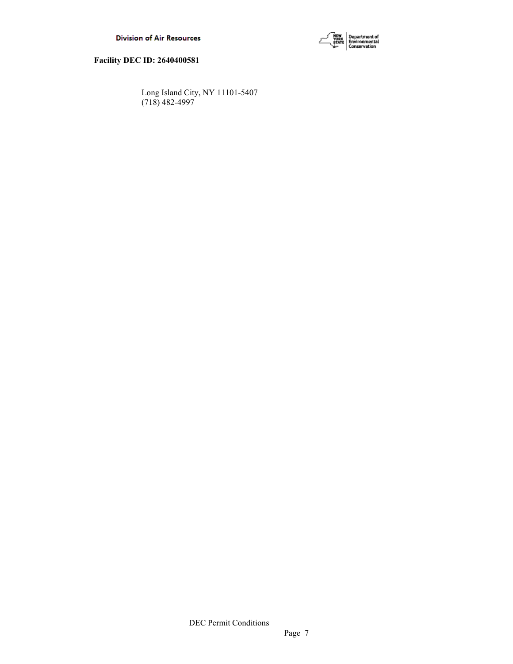



 Long Island City, NY 11101-5407 (718) 482-4997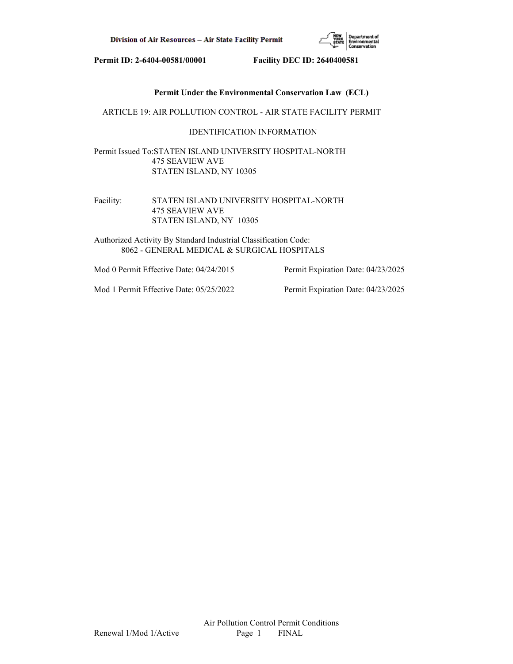

## **Permit Under the Environmental Conservation Law (ECL)**

## ARTICLE 19: AIR POLLUTION CONTROL - AIR STATE FACILITY PERMIT

## IDENTIFICATION INFORMATION

Permit Issued To:STATEN ISLAND UNIVERSITY HOSPITAL-NORTH 475 SEAVIEW AVE STATEN ISLAND, NY 10305

Facility: STATEN ISLAND UNIVERSITY HOSPITAL-NORTH 475 SEAVIEW AVE STATEN ISLAND, NY 10305

Authorized Activity By Standard Industrial Classification Code: 8062 - GENERAL MEDICAL & SURGICAL HOSPITALS

Mod 0 Permit Effective Date: 04/24/2015 Permit Expiration Date: 04/23/2025

Mod 1 Permit Effective Date: 05/25/2022 Permit Expiration Date: 04/23/2025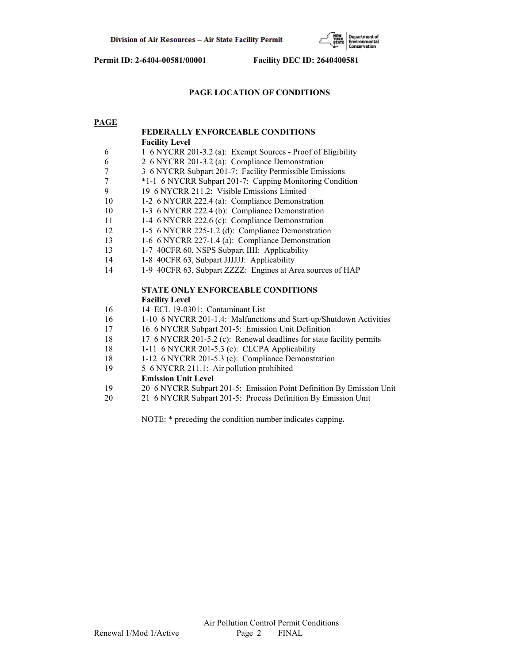

# **PAGE LOCATION OF CONDITIONS**

## **PAGE**

|    | <b>FEDERALLY ENFORCEABLE CONDITIONS</b>                              |
|----|----------------------------------------------------------------------|
|    | <b>Facility Level</b>                                                |
| 6  | 1 6 NYCRR 201-3.2 (a): Exempt Sources - Proof of Eligibility         |
| 6  | 2 6 NYCRR 201-3.2 (a): Compliance Demonstration                      |
| 7  | 3 6 NYCRR Subpart 201-7: Facility Permissible Emissions              |
| 7  | *1-1 6 NYCRR Subpart 201-7: Capping Monitoring Condition             |
| 9  | 19 6 NYCRR 211.2: Visible Emissions Limited                          |
| 10 | 1-2 6 NYCRR 222.4 (a): Compliance Demonstration                      |
| 10 | 1-3 6 NYCRR 222.4 (b): Compliance Demonstration                      |
| 11 | 1-4 6 NYCRR 222.6 (c): Compliance Demonstration                      |
| 12 | 1-5 6 NYCRR 225-1.2 (d): Compliance Demonstration                    |
| 13 | 1-6 6 NYCRR 227-1.4 (a): Compliance Demonstration                    |
| 13 | 1-7 40CFR 60, NSPS Subpart IIII: Applicability                       |
| 14 | 1-8 40CFR 63, Subpart JJJJJJ: Applicability                          |
| 14 | 1-9 40CFR 63, Subpart ZZZZ: Engines at Area sources of HAP           |
|    | <b>STATE ONLY ENFORCEABLE CONDITIONS</b>                             |
|    | <b>Facility Level</b>                                                |
| 16 | 14 ECL 19-0301: Contaminant List                                     |
| 16 | 1-10 6 NYCRR 201-1.4: Malfunctions and Start-up/Shutdown Activities  |
| 17 | 16 6 NYCRR Subpart 201-5: Emission Unit Definition                   |
| 18 | 17 6 NYCRR 201-5.2 (c): Renewal deadlines for state facility permits |
| 18 | 1-11 6 NYCRR 201-5.3 (c): CLCPA Applicability                        |
| 18 | 1-12 6 NYCRR 201-5.3 (c): Compliance Demonstration                   |
| 19 | 5 6 NYCRR 211.1: Air pollution prohibited                            |
|    | <b>Emission Unit Level</b>                                           |
| 19 | 20 6 NYCRR Subpart 201-5: Emission Point Definition By Emission Unit |
| 20 | 21 6 NYCRR Subpart 201-5: Process Definition By Emission Unit        |
|    |                                                                      |

NOTE: \* preceding the condition number indicates capping.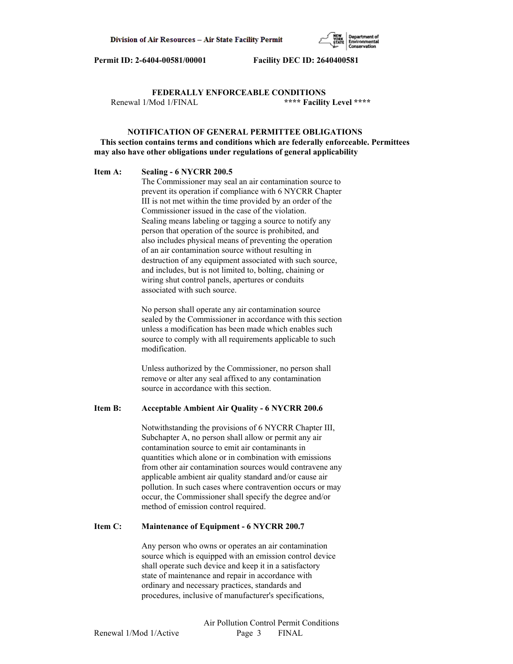

 **FEDERALLY ENFORCEABLE CONDITIONS** Renewal 1/Mod 1/FINAL **\*\*\*\* Facility Level \*\*\*\***

## **NOTIFICATION OF GENERAL PERMITTEE OBLIGATIONS This section contains terms and conditions which are federally enforceable. Permittees may also have other obligations under regulations of general applicability**

#### **Item A: Sealing - 6 NYCRR 200.5**

 The Commissioner may seal an air contamination source to prevent its operation if compliance with 6 NYCRR Chapter III is not met within the time provided by an order of the Commissioner issued in the case of the violation. Sealing means labeling or tagging a source to notify any person that operation of the source is prohibited, and also includes physical means of preventing the operation of an air contamination source without resulting in destruction of any equipment associated with such source, and includes, but is not limited to, bolting, chaining or wiring shut control panels, apertures or conduits associated with such source.

 No person shall operate any air contamination source sealed by the Commissioner in accordance with this section unless a modification has been made which enables such source to comply with all requirements applicable to such modification.

 Unless authorized by the Commissioner, no person shall remove or alter any seal affixed to any contamination source in accordance with this section.

## **Item B: Acceptable Ambient Air Quality - 6 NYCRR 200.6**

 Notwithstanding the provisions of 6 NYCRR Chapter III, Subchapter A, no person shall allow or permit any air contamination source to emit air contaminants in quantities which alone or in combination with emissions from other air contamination sources would contravene any applicable ambient air quality standard and/or cause air pollution. In such cases where contravention occurs or may occur, the Commissioner shall specify the degree and/or method of emission control required.

#### **Item C: Maintenance of Equipment - 6 NYCRR 200.7**

 Any person who owns or operates an air contamination source which is equipped with an emission control device shall operate such device and keep it in a satisfactory state of maintenance and repair in accordance with ordinary and necessary practices, standards and procedures, inclusive of manufacturer's specifications,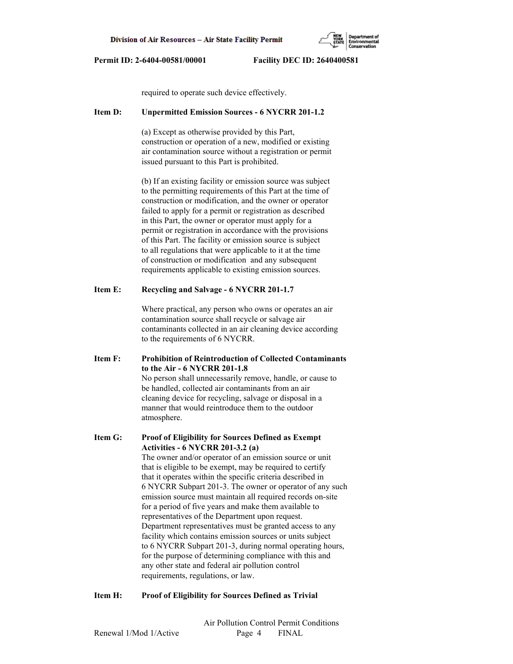

required to operate such device effectively.

#### **Item D: Unpermitted Emission Sources - 6 NYCRR 201-1.2**

 (a) Except as otherwise provided by this Part, construction or operation of a new, modified or existing air contamination source without a registration or permit issued pursuant to this Part is prohibited.

 (b) If an existing facility or emission source was subject to the permitting requirements of this Part at the time of construction or modification, and the owner or operator failed to apply for a permit or registration as described in this Part, the owner or operator must apply for a permit or registration in accordance with the provisions of this Part. The facility or emission source is subject to all regulations that were applicable to it at the time of construction or modification and any subsequent requirements applicable to existing emission sources.

## **Item E: Recycling and Salvage - 6 NYCRR 201-1.7**

 Where practical, any person who owns or operates an air contamination source shall recycle or salvage air contaminants collected in an air cleaning device according to the requirements of 6 NYCRR.

**Item F: Prohibition of Reintroduction of Collected Contaminants to the Air - 6 NYCRR 201-1.8** No person shall unnecessarily remove, handle, or cause to be handled, collected air contaminants from an air cleaning device for recycling, salvage or disposal in a manner that would reintroduce them to the outdoor atmosphere.

**Item G: Proof of Eligibility for Sources Defined as Exempt Activities - 6 NYCRR 201-3.2 (a)** The owner and/or operator of an emission source or unit that is eligible to be exempt, may be required to certify that it operates within the specific criteria described in 6 NYCRR Subpart 201-3. The owner or operator of any such emission source must maintain all required records on-site for a period of five years and make them available to representatives of the Department upon request. Department representatives must be granted access to any facility which contains emission sources or units subject to 6 NYCRR Subpart 201-3, during normal operating hours, for the purpose of determining compliance with this and any other state and federal air pollution control requirements, regulations, or law.

## **Item H: Proof of Eligibility for Sources Defined as Trivial**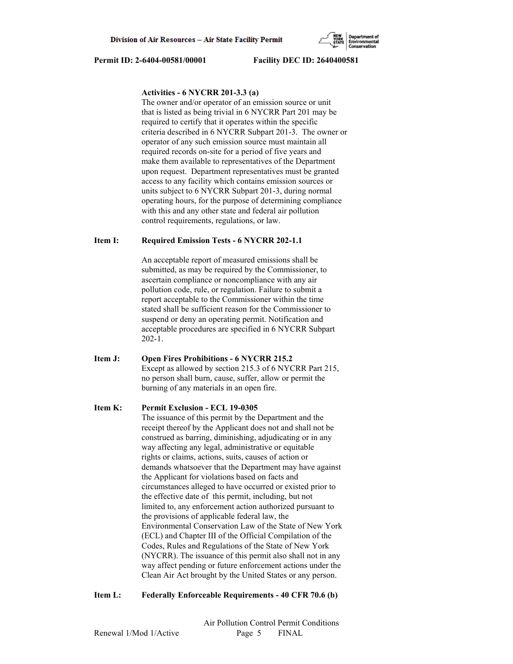## **Activities - 6 NYCRR 201-3.3 (a)**

 The owner and/or operator of an emission source or unit that is listed as being trivial in 6 NYCRR Part 201 may be required to certify that it operates within the specific criteria described in 6 NYCRR Subpart 201-3. The owner or operator of any such emission source must maintain all required records on-site for a period of five years and make them available to representatives of the Department upon request. Department representatives must be granted access to any facility which contains emission sources or units subject to 6 NYCRR Subpart 201-3, during normal operating hours, for the purpose of determining compliance with this and any other state and federal air pollution control requirements, regulations, or law.

#### **Item I: Required Emission Tests - 6 NYCRR 202-1.1**

 An acceptable report of measured emissions shall be submitted, as may be required by the Commissioner, to ascertain compliance or noncompliance with any air pollution code, rule, or regulation. Failure to submit a report acceptable to the Commissioner within the time stated shall be sufficient reason for the Commissioner to suspend or deny an operating permit. Notification and acceptable procedures are specified in 6 NYCRR Subpart 202-1.

**Item J: Open Fires Prohibitions - 6 NYCRR 215.2** Except as allowed by section 215.3 of 6 NYCRR Part 215, no person shall burn, cause, suffer, allow or permit the burning of any materials in an open fire.

#### **Item K: Permit Exclusion - ECL 19-0305**

 The issuance of this permit by the Department and the receipt thereof by the Applicant does not and shall not be construed as barring, diminishing, adjudicating or in any way affecting any legal, administrative or equitable rights or claims, actions, suits, causes of action or demands whatsoever that the Department may have against the Applicant for violations based on facts and circumstances alleged to have occurred or existed prior to the effective date of this permit, including, but not limited to, any enforcement action authorized pursuant to the provisions of applicable federal law, the Environmental Conservation Law of the State of New York (ECL) and Chapter III of the Official Compilation of the Codes, Rules and Regulations of the State of New York (NYCRR). The issuance of this permit also shall not in any way affect pending or future enforcement actions under the Clean Air Act brought by the United States or any person.

#### **Item L: Federally Enforceable Requirements - 40 CFR 70.6 (b)**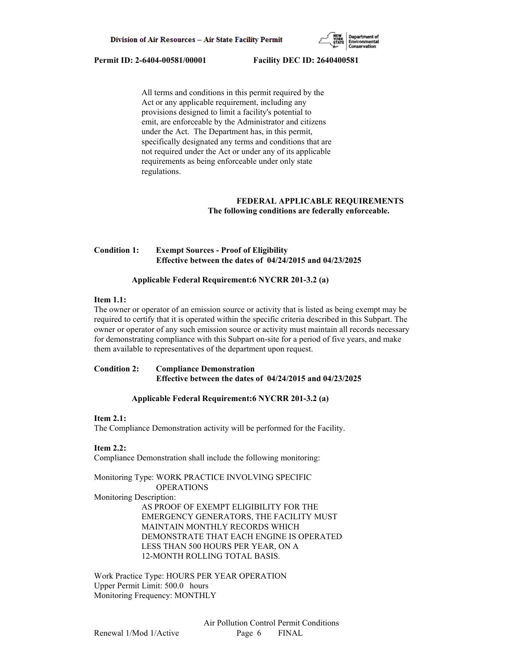

 All terms and conditions in this permit required by the Act or any applicable requirement, including any provisions designed to limit a facility's potential to emit, are enforceable by the Administrator and citizens under the Act. The Department has, in this permit, specifically designated any terms and conditions that are not required under the Act or under any of its applicable requirements as being enforceable under only state regulations.

# **FEDERAL APPLICABLE REQUIREMENTS The following conditions are federally enforceable.**

# **Condition 1: Exempt Sources - Proof of Eligibility Effective between the dates of 04/24/2015 and 04/23/2025**

## **Applicable Federal Requirement:6 NYCRR 201-3.2 (a)**

## **Item 1.1:**

The owner or operator of an emission source or activity that is listed as being exempt may be required to certify that it is operated within the specific criteria described in this Subpart. The owner or operator of any such emission source or activity must maintain all records necessary for demonstrating compliance with this Subpart on-site for a period of five years, and make them available to representatives of the department upon request.

**Condition 2: Compliance Demonstration Effective between the dates of 04/24/2015 and 04/23/2025**

## **Applicable Federal Requirement:6 NYCRR 201-3.2 (a)**

#### **Item 2.1:**

The Compliance Demonstration activity will be performed for the Facility.

## **Item 2.2:**

Compliance Demonstration shall include the following monitoring:

Monitoring Type: WORK PRACTICE INVOLVING SPECIFIC OPERATIONS

Monitoring Description:

 AS PROOF OF EXEMPT ELIGIBILITY FOR THE EMERGENCY GENERATORS, THE FACILITY MUST MAINTAIN MONTHLY RECORDS WHICH DEMONSTRATE THAT EACH ENGINE IS OPERATED LESS THAN 500 HOURS PER YEAR, ON A 12-MONTH ROLLING TOTAL BASIS.

Work Practice Type: HOURS PER YEAR OPERATION Upper Permit Limit: 500.0 hours Monitoring Frequency: MONTHLY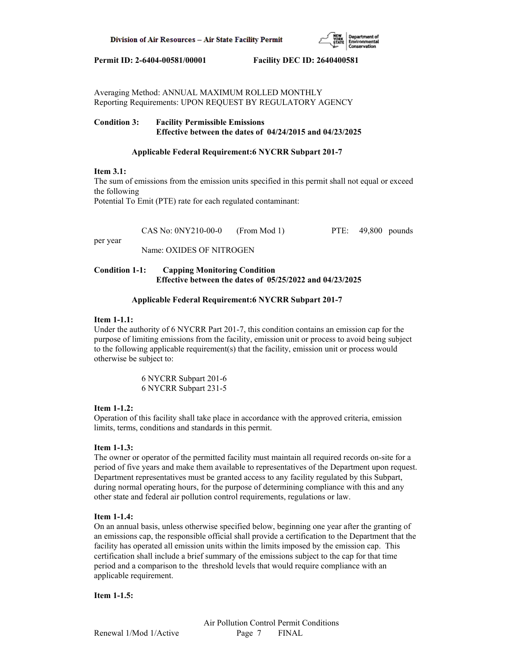

Averaging Method: ANNUAL MAXIMUM ROLLED MONTHLY Reporting Requirements: UPON REQUEST BY REGULATORY AGENCY

## **Condition 3: Facility Permissible Emissions Effective between the dates of 04/24/2015 and 04/23/2025**

## **Applicable Federal Requirement:6 NYCRR Subpart 201-7**

## **Item 3.1:**

The sum of emissions from the emission units specified in this permit shall not equal or exceed the following

Potential To Emit (PTE) rate for each regulated contaminant:

| $CAS No: 0NY210-00-0$ (From Mod 1) |  | PTE: 49,800 pounds |  |
|------------------------------------|--|--------------------|--|
|                                    |  |                    |  |

per year

Name: OXIDES OF NITROGEN

# **Condition 1-1: Capping Monitoring Condition Effective between the dates of 05/25/2022 and 04/23/2025**

# **Applicable Federal Requirement:6 NYCRR Subpart 201-7**

# **Item 1-1.1:**

Under the authority of 6 NYCRR Part 201-7, this condition contains an emission cap for the purpose of limiting emissions from the facility, emission unit or process to avoid being subject to the following applicable requirement(s) that the facility, emission unit or process would otherwise be subject to:

> 6 NYCRR Subpart 201-6 6 NYCRR Subpart 231-5

# **Item 1-1.2:**

Operation of this facility shall take place in accordance with the approved criteria, emission limits, terms, conditions and standards in this permit.

# **Item 1-1.3:**

The owner or operator of the permitted facility must maintain all required records on-site for a period of five years and make them available to representatives of the Department upon request. Department representatives must be granted access to any facility regulated by this Subpart, during normal operating hours, for the purpose of determining compliance with this and any other state and federal air pollution control requirements, regulations or law.

# **Item 1-1.4:**

On an annual basis, unless otherwise specified below, beginning one year after the granting of an emissions cap, the responsible official shall provide a certification to the Department that the facility has operated all emission units within the limits imposed by the emission cap. This certification shall include a brief summary of the emissions subject to the cap for that time period and a comparison to the threshold levels that would require compliance with an applicable requirement.

# **Item 1-1.5:**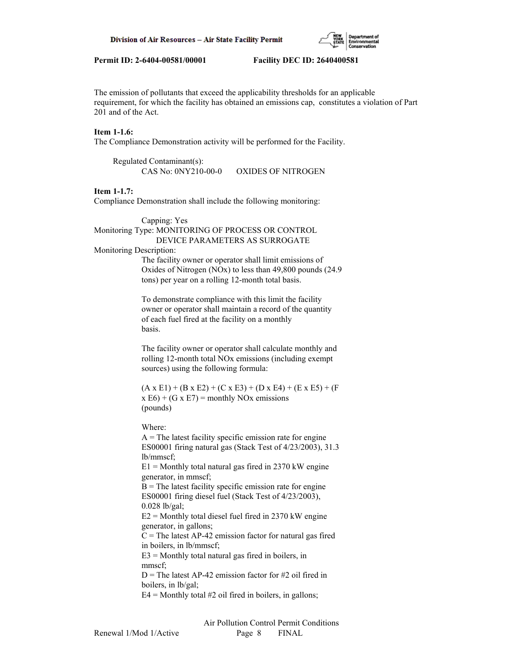

The emission of pollutants that exceed the applicability thresholds for an applicable requirement, for which the facility has obtained an emissions cap, constitutes a violation of Part 201 and of the Act.

## **Item 1-1.6:**

The Compliance Demonstration activity will be performed for the Facility.

| Regulated Contaminant(s): |                           |
|---------------------------|---------------------------|
| CAS No: 0NY210-00-0       | <b>OXIDES OF NITROGEN</b> |

#### **Item 1-1.7:**

Compliance Demonstration shall include the following monitoring:

 Capping: Yes Monitoring Type: MONITORING OF PROCESS OR CONTROL DEVICE PARAMETERS AS SURROGATE

# Monitoring Description:

 The facility owner or operator shall limit emissions of Oxides of Nitrogen (NOx) to less than 49,800 pounds (24.9 tons) per year on a rolling 12-month total basis.

 To demonstrate compliance with this limit the facility owner or operator shall maintain a record of the quantity of each fuel fired at the facility on a monthly basis.

 The facility owner or operator shall calculate monthly and rolling 12-month total NOx emissions (including exempt sources) using the following formula:

 $(A \times E1) + (B \times E2) + (C \times E3) + (D \times E4) + (E \times E5) + (F$  $x E6$  + (G x E7) = monthly NOx emissions (pounds)

Where:

 $A =$ The latest facility specific emission rate for engine ES00001 firing natural gas (Stack Test of 4/23/2003), 31.3 lb/mmscf;  $E1 =$  Monthly total natural gas fired in 2370 kW engine generator, in mmscf;  $B$  = The latest facility specific emission rate for engine ES00001 firing diesel fuel (Stack Test of 4/23/2003), 0.028 lb/gal;  $E2 =$  Monthly total diesel fuel fired in 2370 kW engine generator, in gallons;  $C =$ The latest AP-42 emission factor for natural gas fired in boilers, in lb/mmscf;  $E3$  = Monthly total natural gas fired in boilers, in mmscf;  $D$  = The latest AP-42 emission factor for #2 oil fired in boilers, in lb/gal;  $E4 =$  Monthly total #2 oil fired in boilers, in gallons;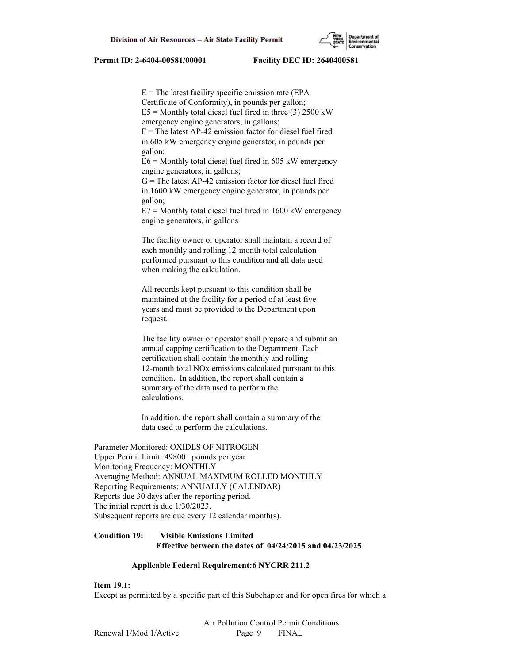$E =$ The latest facility specific emission rate (EPA) Certificate of Conformity), in pounds per gallon;  $E5 =$  Monthly total diesel fuel fired in three (3) 2500 kW emergency engine generators, in gallons;  $F =$ The latest AP-42 emission factor for diesel fuel fired in 605 kW emergency engine generator, in pounds per gallon;  $E6$  = Monthly total diesel fuel fired in 605 kW emergency engine generators, in gallons;  $G =$ The latest AP-42 emission factor for diesel fuel fired in 1600 kW emergency engine generator, in pounds per gallon;

 $E7 =$  Monthly total diesel fuel fired in 1600 kW emergency engine generators, in gallons

 The facility owner or operator shall maintain a record of each monthly and rolling 12-month total calculation performed pursuant to this condition and all data used when making the calculation.

 All records kept pursuant to this condition shall be maintained at the facility for a period of at least five years and must be provided to the Department upon request.

 The facility owner or operator shall prepare and submit an annual capping certification to the Department. Each certification shall contain the monthly and rolling 12-month total NOx emissions calculated pursuant to this condition. In addition, the report shall contain a summary of the data used to perform the calculations.

 In addition, the report shall contain a summary of the data used to perform the calculations.

Parameter Monitored: OXIDES OF NITROGEN Upper Permit Limit: 49800 pounds per year Monitoring Frequency: MONTHLY Averaging Method: ANNUAL MAXIMUM ROLLED MONTHLY Reporting Requirements: ANNUALLY (CALENDAR) Reports due 30 days after the reporting period. The initial report is due 1/30/2023. Subsequent reports are due every 12 calendar month(s).

## **Condition 19: Visible Emissions Limited Effective between the dates of 04/24/2015 and 04/23/2025**

## **Applicable Federal Requirement:6 NYCRR 211.2**

# **Item 19.1:**

Except as permitted by a specific part of this Subchapter and for open fires for which a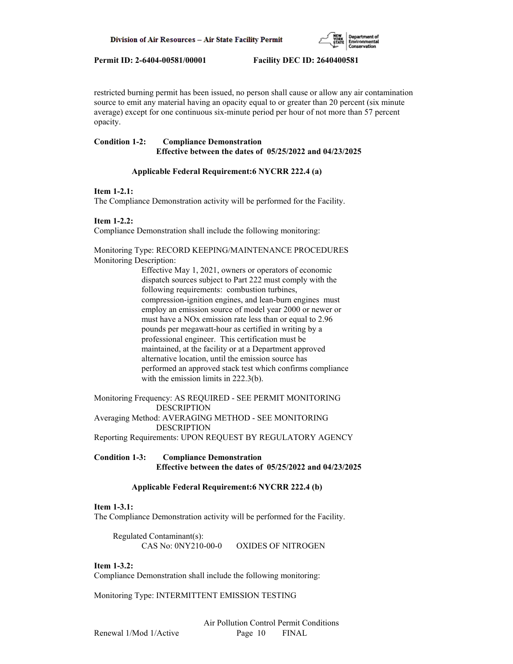

restricted burning permit has been issued, no person shall cause or allow any air contamination source to emit any material having an opacity equal to or greater than 20 percent (six minute average) except for one continuous six-minute period per hour of not more than 57 percent opacity.

# **Condition 1-2: Compliance Demonstration Effective between the dates of 05/25/2022 and 04/23/2025**

## **Applicable Federal Requirement:6 NYCRR 222.4 (a)**

## **Item 1-2.1:**

The Compliance Demonstration activity will be performed for the Facility.

## **Item 1-2.2:**

Compliance Demonstration shall include the following monitoring:

Monitoring Type: RECORD KEEPING/MAINTENANCE PROCEDURES Monitoring Description:

> Effective May 1, 2021, owners or operators of economic dispatch sources subject to Part 222 must comply with the following requirements: combustion turbines, compression-ignition engines, and lean-burn engines must employ an emission source of model year 2000 or newer or must have a NOx emission rate less than or equal to 2.96 pounds per megawatt-hour as certified in writing by a professional engineer. This certification must be maintained, at the facility or at a Department approved alternative location, until the emission source has performed an approved stack test which confirms compliance with the emission limits in 222.3(b).

Monitoring Frequency: AS REQUIRED - SEE PERMIT MONITORING DESCRIPTION

Averaging Method: AVERAGING METHOD - SEE MONITORING DESCRIPTION

Reporting Requirements: UPON REQUEST BY REGULATORY AGENCY

## **Condition 1-3: Compliance Demonstration Effective between the dates of 05/25/2022 and 04/23/2025**

# **Applicable Federal Requirement:6 NYCRR 222.4 (b)**

## **Item 1-3.1:**

The Compliance Demonstration activity will be performed for the Facility.

 Regulated Contaminant(s): CAS No: 0NY210-00-0 OXIDES OF NITROGEN

## **Item 1-3.2:**

Compliance Demonstration shall include the following monitoring:

Monitoring Type: INTERMITTENT EMISSION TESTING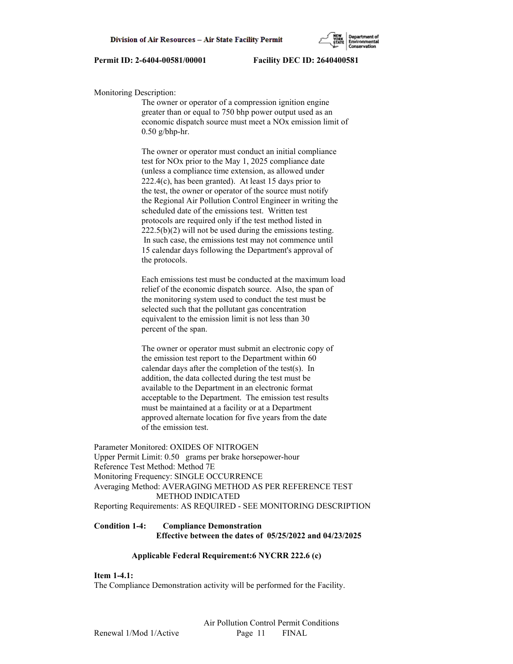

#### Monitoring Description:

 The owner or operator of a compression ignition engine greater than or equal to 750 bhp power output used as an economic dispatch source must meet a NOx emission limit of  $0.50$  g/bhp-hr.

 The owner or operator must conduct an initial compliance test for NOx prior to the May 1, 2025 compliance date (unless a compliance time extension, as allowed under 222.4(c), has been granted). At least 15 days prior to the test, the owner or operator of the source must notify the Regional Air Pollution Control Engineer in writing the scheduled date of the emissions test. Written test protocols are required only if the test method listed in 222.5(b)(2) will not be used during the emissions testing. In such case, the emissions test may not commence until 15 calendar days following the Department's approval of the protocols.

 Each emissions test must be conducted at the maximum load relief of the economic dispatch source. Also, the span of the monitoring system used to conduct the test must be selected such that the pollutant gas concentration equivalent to the emission limit is not less than 30 percent of the span.

 The owner or operator must submit an electronic copy of the emission test report to the Department within 60 calendar days after the completion of the test(s). In addition, the data collected during the test must be available to the Department in an electronic format acceptable to the Department. The emission test results must be maintained at a facility or at a Department approved alternate location for five years from the date of the emission test.

Parameter Monitored: OXIDES OF NITROGEN Upper Permit Limit: 0.50 grams per brake horsepower-hour Reference Test Method: Method 7E Monitoring Frequency: SINGLE OCCURRENCE Averaging Method: AVERAGING METHOD AS PER REFERENCE TEST METHOD INDICATED Reporting Requirements: AS REQUIRED - SEE MONITORING DESCRIPTION

# **Condition 1-4: Compliance Demonstration Effective between the dates of 05/25/2022 and 04/23/2025**

#### **Applicable Federal Requirement:6 NYCRR 222.6 (c)**

## **Item 1-4.1:**

The Compliance Demonstration activity will be performed for the Facility.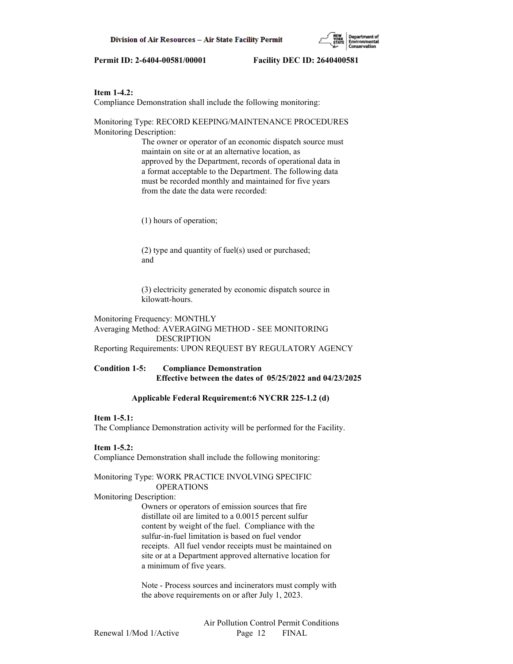

#### **Item 1-4.2:**

Compliance Demonstration shall include the following monitoring:

Monitoring Type: RECORD KEEPING/MAINTENANCE PROCEDURES Monitoring Description:

> The owner or operator of an economic dispatch source must maintain on site or at an alternative location, as approved by the Department, records of operational data in a format acceptable to the Department. The following data must be recorded monthly and maintained for five years from the date the data were recorded:

(1) hours of operation;

 (2) type and quantity of fuel(s) used or purchased; and

 (3) electricity generated by economic dispatch source in kilowatt-hours.

Monitoring Frequency: MONTHLY Averaging Method: AVERAGING METHOD - SEE MONITORING DESCRIPTION

Reporting Requirements: UPON REQUEST BY REGULATORY AGENCY

## **Condition 1-5: Compliance Demonstration Effective between the dates of 05/25/2022 and 04/23/2025**

#### **Applicable Federal Requirement:6 NYCRR 225-1.2 (d)**

#### **Item 1-5.1:**

The Compliance Demonstration activity will be performed for the Facility.

## **Item 1-5.2:**

Compliance Demonstration shall include the following monitoring:

#### Monitoring Type: WORK PRACTICE INVOLVING SPECIFIC OPERATIONS

Monitoring Description:

 Owners or operators of emission sources that fire distillate oil are limited to a 0.0015 percent sulfur content by weight of the fuel. Compliance with the sulfur-in-fuel limitation is based on fuel vendor receipts. All fuel vendor receipts must be maintained on site or at a Department approved alternative location for a minimum of five years.

 Note - Process sources and incinerators must comply with the above requirements on or after July 1, 2023.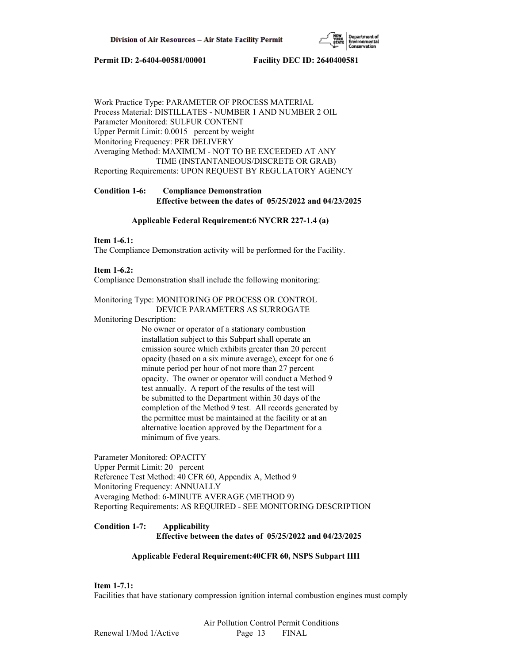

Work Practice Type: PARAMETER OF PROCESS MATERIAL Process Material: DISTILLATES - NUMBER 1 AND NUMBER 2 OIL Parameter Monitored: SULFUR CONTENT Upper Permit Limit: 0.0015 percent by weight Monitoring Frequency: PER DELIVERY Averaging Method: MAXIMUM - NOT TO BE EXCEEDED AT ANY TIME (INSTANTANEOUS/DISCRETE OR GRAB) Reporting Requirements: UPON REQUEST BY REGULATORY AGENCY

# **Condition 1-6: Compliance Demonstration Effective between the dates of 05/25/2022 and 04/23/2025**

## **Applicable Federal Requirement:6 NYCRR 227-1.4 (a)**

## **Item 1-6.1:**

The Compliance Demonstration activity will be performed for the Facility.

#### **Item 1-6.2:**

Compliance Demonstration shall include the following monitoring:

## Monitoring Type: MONITORING OF PROCESS OR CONTROL DEVICE PARAMETERS AS SURROGATE

Monitoring Description:

 No owner or operator of a stationary combustion installation subject to this Subpart shall operate an emission source which exhibits greater than 20 percent opacity (based on a six minute average), except for one 6 minute period per hour of not more than 27 percent opacity. The owner or operator will conduct a Method 9 test annually. A report of the results of the test will be submitted to the Department within 30 days of the completion of the Method 9 test. All records generated by the permittee must be maintained at the facility or at an alternative location approved by the Department for a minimum of five years.

Parameter Monitored: OPACITY Upper Permit Limit: 20 percent Reference Test Method: 40 CFR 60, Appendix A, Method 9 Monitoring Frequency: ANNUALLY Averaging Method: 6-MINUTE AVERAGE (METHOD 9) Reporting Requirements: AS REQUIRED - SEE MONITORING DESCRIPTION

# **Condition 1-7: Applicability Effective between the dates of 05/25/2022 and 04/23/2025**

## **Applicable Federal Requirement:40CFR 60, NSPS Subpart IIII**

**Item 1-7.1:**

Facilities that have stationary compression ignition internal combustion engines must comply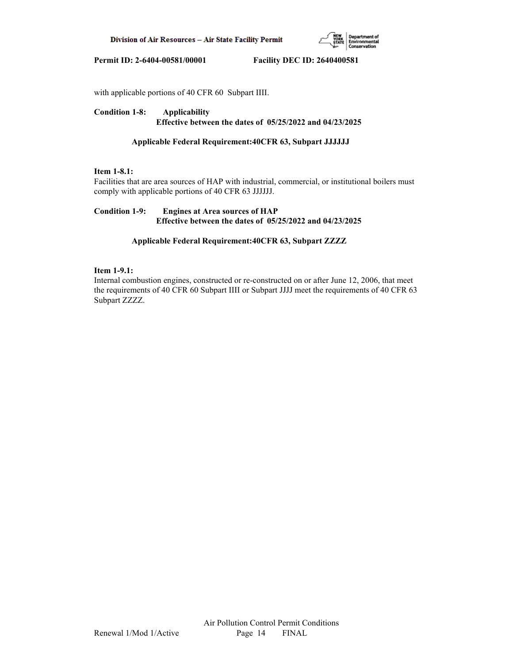

with applicable portions of 40 CFR 60 Subpart IIII.

# **Condition 1-8: Applicability Effective between the dates of 05/25/2022 and 04/23/2025**

## **Applicable Federal Requirement:40CFR 63, Subpart JJJJJJ**

# **Item 1-8.1:**

Facilities that are area sources of HAP with industrial, commercial, or institutional boilers must comply with applicable portions of 40 CFR 63 JJJJJJ.

# **Condition 1-9: Engines at Area sources of HAP Effective between the dates of 05/25/2022 and 04/23/2025**

## **Applicable Federal Requirement:40CFR 63, Subpart ZZZZ**

## **Item 1-9.1:**

Internal combustion engines, constructed or re-constructed on or after June 12, 2006, that meet the requirements of 40 CFR 60 Subpart IIII or Subpart JJJJ meet the requirements of 40 CFR 63 Subpart ZZZZ.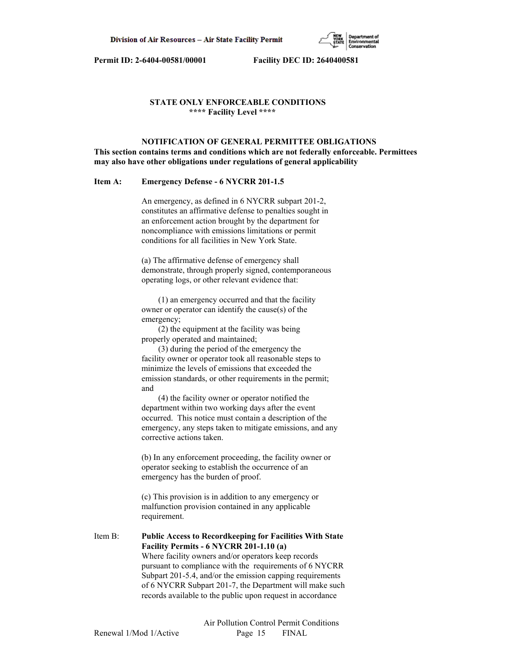

## **STATE ONLY ENFORCEABLE CONDITIONS \*\*\*\* Facility Level \*\*\*\***

## **NOTIFICATION OF GENERAL PERMITTEE OBLIGATIONS This section contains terms and conditions which are not federally enforceable. Permittees may also have other obligations under regulations of general applicability**

#### **Item A: Emergency Defense - 6 NYCRR 201-1.5**

 An emergency, as defined in 6 NYCRR subpart 201-2, constitutes an affirmative defense to penalties sought in an enforcement action brought by the department for noncompliance with emissions limitations or permit conditions for all facilities in New York State.

 (a) The affirmative defense of emergency shall demonstrate, through properly signed, contemporaneous operating logs, or other relevant evidence that:

 (1) an emergency occurred and that the facility owner or operator can identify the cause(s) of the emergency;

 (2) the equipment at the facility was being properly operated and maintained;

 (3) during the period of the emergency the facility owner or operator took all reasonable steps to minimize the levels of emissions that exceeded the emission standards, or other requirements in the permit; and

 (4) the facility owner or operator notified the department within two working days after the event occurred. This notice must contain a description of the emergency, any steps taken to mitigate emissions, and any corrective actions taken.

 (b) In any enforcement proceeding, the facility owner or operator seeking to establish the occurrence of an emergency has the burden of proof.

 (c) This provision is in addition to any emergency or malfunction provision contained in any applicable requirement.

Item B: **Public Access to Recordkeeping for Facilities With State Facility Permits - 6 NYCRR 201-1.10 (a)** Where facility owners and/or operators keep records pursuant to compliance with the requirements of 6 NYCRR Subpart 201-5.4, and/or the emission capping requirements of 6 NYCRR Subpart 201-7, the Department will make such records available to the public upon request in accordance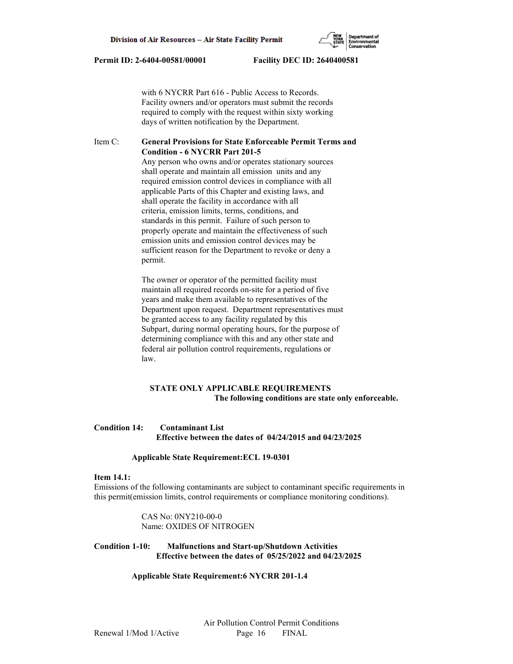with 6 NYCRR Part 616 - Public Access to Records. Facility owners and/or operators must submit the records required to comply with the request within sixty working days of written notification by the Department.

## Item C: **General Provisions for State Enforceable Permit Terms and Condition - 6 NYCRR Part 201-5**

 Any person who owns and/or operates stationary sources shall operate and maintain all emission units and any required emission control devices in compliance with all applicable Parts of this Chapter and existing laws, and shall operate the facility in accordance with all criteria, emission limits, terms, conditions, and standards in this permit. Failure of such person to properly operate and maintain the effectiveness of such emission units and emission control devices may be sufficient reason for the Department to revoke or deny a permit.

 The owner or operator of the permitted facility must maintain all required records on-site for a period of five years and make them available to representatives of the Department upon request. Department representatives must be granted access to any facility regulated by this Subpart, during normal operating hours, for the purpose of determining compliance with this and any other state and federal air pollution control requirements, regulations or law.

# **STATE ONLY APPLICABLE REQUIREMENTS The following conditions are state only enforceable.**

## **Condition 14: Contaminant List Effective between the dates of 04/24/2015 and 04/23/2025**

#### **Applicable State Requirement:ECL 19-0301**

#### **Item 14.1:**

Emissions of the following contaminants are subject to contaminant specific requirements in this permit(emission limits, control requirements or compliance monitoring conditions).

> CAS No: 0NY210-00-0 Name: OXIDES OF NITROGEN

# **Condition 1-10: Malfunctions and Start-up/Shutdown Activities Effective between the dates of 05/25/2022 and 04/23/2025**

#### **Applicable State Requirement:6 NYCRR 201-1.4**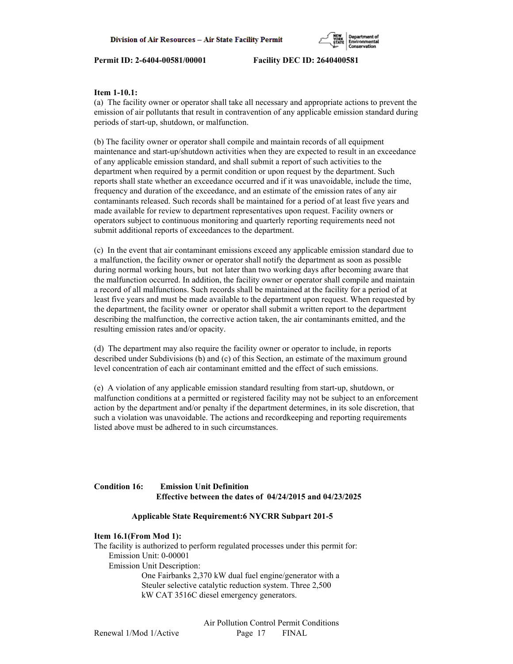

## **Item 1-10.1:**

(a) The facility owner or operator shall take all necessary and appropriate actions to prevent the emission of air pollutants that result in contravention of any applicable emission standard during periods of start-up, shutdown, or malfunction.

(b) The facility owner or operator shall compile and maintain records of all equipment maintenance and start-up/shutdown activities when they are expected to result in an exceedance of any applicable emission standard, and shall submit a report of such activities to the department when required by a permit condition or upon request by the department. Such reports shall state whether an exceedance occurred and if it was unavoidable, include the time, frequency and duration of the exceedance, and an estimate of the emission rates of any air contaminants released. Such records shall be maintained for a period of at least five years and made available for review to department representatives upon request. Facility owners or operators subject to continuous monitoring and quarterly reporting requirements need not submit additional reports of exceedances to the department.

(c) In the event that air contaminant emissions exceed any applicable emission standard due to a malfunction, the facility owner or operator shall notify the department as soon as possible during normal working hours, but not later than two working days after becoming aware that the malfunction occurred. In addition, the facility owner or operator shall compile and maintain a record of all malfunctions. Such records shall be maintained at the facility for a period of at least five years and must be made available to the department upon request. When requested by the department, the facility owner or operator shall submit a written report to the department describing the malfunction, the corrective action taken, the air contaminants emitted, and the resulting emission rates and/or opacity.

(d) The department may also require the facility owner or operator to include, in reports described under Subdivisions (b) and (c) of this Section, an estimate of the maximum ground level concentration of each air contaminant emitted and the effect of such emissions.

(e) A violation of any applicable emission standard resulting from start-up, shutdown, or malfunction conditions at a permitted or registered facility may not be subject to an enforcement action by the department and/or penalty if the department determines, in its sole discretion, that such a violation was unavoidable. The actions and recordkeeping and reporting requirements listed above must be adhered to in such circumstances.

# **Condition 16: Emission Unit Definition Effective between the dates of 04/24/2015 and 04/23/2025**

## **Applicable State Requirement:6 NYCRR Subpart 201-5**

## **Item 16.1(From Mod 1):**

The facility is authorized to perform regulated processes under this permit for: Emission Unit: 0-00001 Emission Unit Description: One Fairbanks 2,370 kW dual fuel engine/generator with a Steuler selective catalytic reduction system. Three 2,500 kW CAT 3516C diesel emergency generators.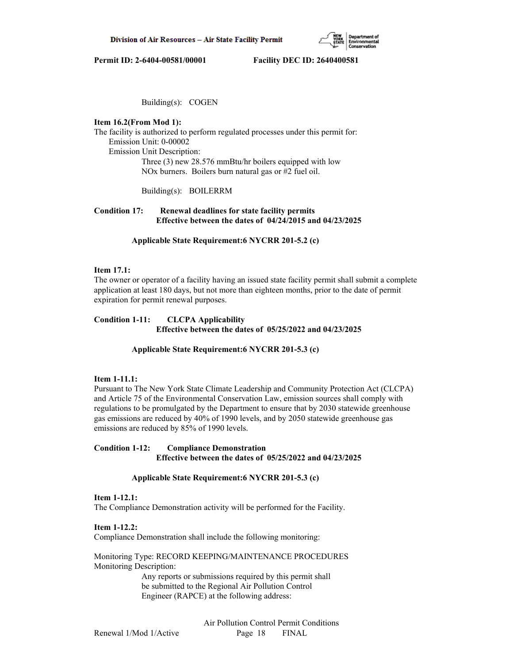

Building(s): COGEN

#### **Item 16.2(From Mod 1):**

The facility is authorized to perform regulated processes under this permit for: Emission Unit: 0-00002 Emission Unit Description: Three (3) new 28.576 mmBtu/hr boilers equipped with low NOx burners. Boilers burn natural gas or #2 fuel oil.

Building(s): BOILERRM

## **Condition 17: Renewal deadlines for state facility permits Effective between the dates of 04/24/2015 and 04/23/2025**

 **Applicable State Requirement:6 NYCRR 201-5.2 (c)**

#### **Item 17.1:**

The owner or operator of a facility having an issued state facility permit shall submit a complete application at least 180 days, but not more than eighteen months, prior to the date of permit expiration for permit renewal purposes.

## **Condition 1-11: CLCPA Applicability Effective between the dates of 05/25/2022 and 04/23/2025**

#### **Applicable State Requirement:6 NYCRR 201-5.3 (c)**

## **Item 1-11.1:**

Pursuant to The New York State Climate Leadership and Community Protection Act (CLCPA) and Article 75 of the Environmental Conservation Law, emission sources shall comply with regulations to be promulgated by the Department to ensure that by 2030 statewide greenhouse gas emissions are reduced by 40% of 1990 levels, and by 2050 statewide greenhouse gas emissions are reduced by 85% of 1990 levels.

## **Condition 1-12: Compliance Demonstration Effective between the dates of 05/25/2022 and 04/23/2025**

## **Applicable State Requirement:6 NYCRR 201-5.3 (c)**

#### **Item 1-12.1:**

The Compliance Demonstration activity will be performed for the Facility.

**Item 1-12.2:**

Compliance Demonstration shall include the following monitoring:

Monitoring Type: RECORD KEEPING/MAINTENANCE PROCEDURES Monitoring Description:

> Any reports or submissions required by this permit shall be submitted to the Regional Air Pollution Control Engineer (RAPCE) at the following address: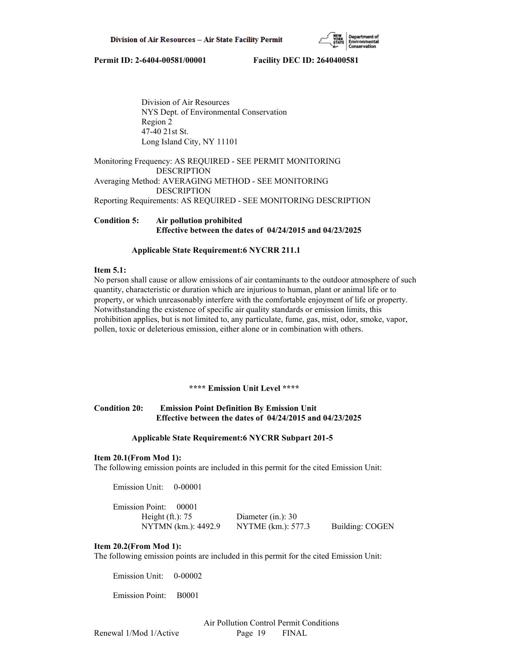

 Division of Air Resources NYS Dept. of Environmental Conservation Region 2 47-40 21st St. Long Island City, NY 11101

Monitoring Frequency: AS REQUIRED - SEE PERMIT MONITORING DESCRIPTION Averaging Method: AVERAGING METHOD - SEE MONITORING DESCRIPTION

Reporting Requirements: AS REQUIRED - SEE MONITORING DESCRIPTION

# **Condition 5: Air pollution prohibited Effective between the dates of 04/24/2015 and 04/23/2025**

## **Applicable State Requirement:6 NYCRR 211.1**

## **Item 5.1:**

No person shall cause or allow emissions of air contaminants to the outdoor atmosphere of such quantity, characteristic or duration which are injurious to human, plant or animal life or to property, or which unreasonably interfere with the comfortable enjoyment of life or property. Notwithstanding the existence of specific air quality standards or emission limits, this prohibition applies, but is not limited to, any particulate, fume, gas, mist, odor, smoke, vapor, pollen, toxic or deleterious emission, either alone or in combination with others.

## **\*\*\*\* Emission Unit Level \*\*\*\***

## **Condition 20: Emission Point Definition By Emission Unit Effective between the dates of 04/24/2015 and 04/23/2025**

## **Applicable State Requirement:6 NYCRR Subpart 201-5**

## **Item 20.1(From Mod 1):**

The following emission points are included in this permit for the cited Emission Unit:

Emission Unit: 0-00001

| Emission Point: 00001 |                      |                 |
|-----------------------|----------------------|-----------------|
| Height $(ft.)$ : 75   | Diameter (in.): $30$ |                 |
| NYTMN (km.): 4492.9   | NYTME (km.): 577.3   | Building: COGEN |

## **Item 20.2(From Mod 1):**

The following emission points are included in this permit for the cited Emission Unit:

Emission Unit: 0-00002

Emission Point: B0001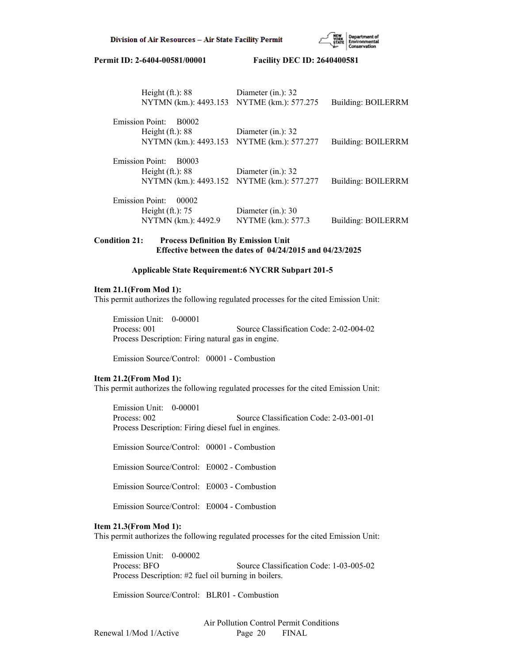

| Height $(ft.): 88$<br>NYTMN (km.): 4493.153 NYTME (km.): 577.275 | Diameter (in.): 32    | Building: BOILERRM |
|------------------------------------------------------------------|-----------------------|--------------------|
| <b>Emission Point:</b><br>B0002                                  |                       |                    |
| Height $(ft.): 88$                                               | Diameter (in.): 32    |                    |
| NYTMN (km.): 4493.153 NYTME (km.): 577.277                       |                       | Building: BOILERRM |
| Emission Point:<br>B0003                                         |                       |                    |
| Height $(ft.)$ : 88                                              | Diameter $(in.)$ : 32 |                    |
| NYTMN (km.): 4493.152 NYTME (km.): 577.277                       |                       | Building: BOILERRM |
| <b>Emission Point:</b><br>00002                                  |                       |                    |
| Height $(ft.)$ : 75                                              | Diameter (in.): 30    |                    |
| NYTMN (km.): 4492.9                                              | NYTME (km.): 577.3    | Building: BOILERRM |

## **Condition 21: Process Definition By Emission Unit Effective between the dates of 04/24/2015 and 04/23/2025**

#### **Applicable State Requirement:6 NYCRR Subpart 201-5**

#### **Item 21.1(From Mod 1):**

This permit authorizes the following regulated processes for the cited Emission Unit:

 Emission Unit: 0-00001 Process: 001 Source Classification Code: 2-02-004-02 Process Description: Firing natural gas in engine.

Emission Source/Control: 00001 - Combustion

#### **Item 21.2(From Mod 1):**

This permit authorizes the following regulated processes for the cited Emission Unit:

 Emission Unit: 0-00001 Process: 002 Source Classification Code: 2-03-001-01 Process Description: Firing diesel fuel in engines.

Emission Source/Control: 00001 - Combustion

Emission Source/Control: E0002 - Combustion

Emission Source/Control: E0003 - Combustion

Emission Source/Control: E0004 - Combustion

## **Item 21.3(From Mod 1):**

This permit authorizes the following regulated processes for the cited Emission Unit:

 Emission Unit: 0-00002 Process: BFO Source Classification Code: 1-03-005-02 Process Description: #2 fuel oil burning in boilers.

Emission Source/Control: BLR01 - Combustion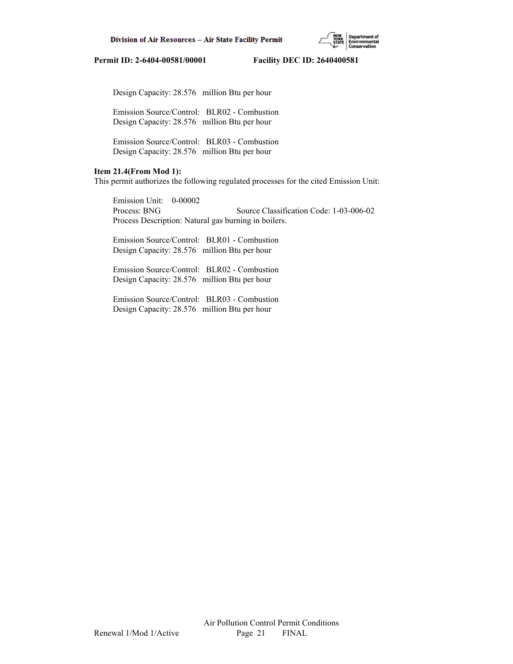

Design Capacity: 28.576 million Btu per hour

 Emission Source/Control: BLR02 - Combustion Design Capacity: 28.576 million Btu per hour

 Emission Source/Control: BLR03 - Combustion Design Capacity: 28.576 million Btu per hour

# **Item 21.4(From Mod 1):**

This permit authorizes the following regulated processes for the cited Emission Unit:

 Emission Unit: 0-00002 Process: BNG Source Classification Code: 1-03-006-02 Process Description: Natural gas burning in boilers.

 Emission Source/Control: BLR01 - Combustion Design Capacity: 28.576 million Btu per hour

 Emission Source/Control: BLR02 - Combustion Design Capacity: 28.576 million Btu per hour

 Emission Source/Control: BLR03 - Combustion Design Capacity: 28.576 million Btu per hour